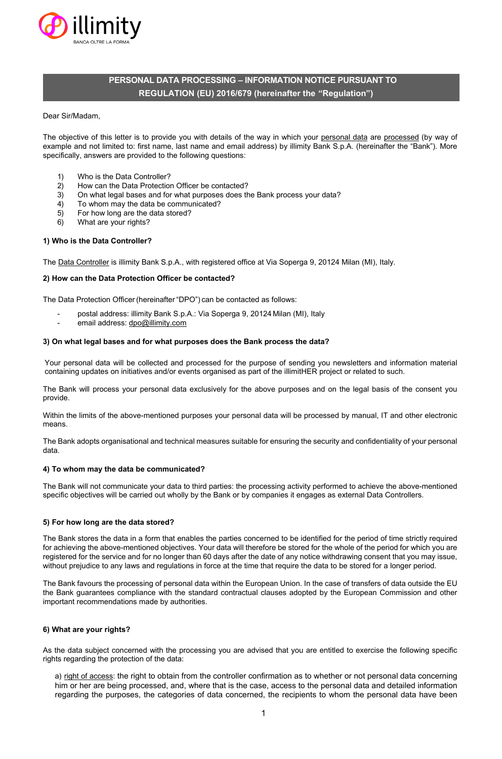

# **PERSONAL DATA PROCESSING – INFORMATION NOTICE PURSUANT TO REGULATION (EU) 2016/679 (hereinafter the "Regulation")**

#### Dear Sir/Madam,

The objective of this letter is to provide you with details of the way in which your personal data are processed (by way of example and not limited to: first name, last name and email address) by illimity Bank S.p.A. (hereinafter the "Bank"). More specifically, answers are provided to the following questions:

- 1) Who is the Data Controller?
- 2) How can the Data Protection Officer be contacted?
- 3) On what legal bases and for what purposes does the Bank process your data?
- 4) To whom may the data be communicated?
- 5) For how long are the data stored?
- 6) What are your rights?

# **1) Who is the Data Controller?**

The Data Controller is illimity Bank S.p.A., with registered office at Via Soperga 9, 20124 Milan (MI), Italy.

#### **2) How can the Data Protection Officer be contacted?**

The Data Protection Officer (hereinafter "DPO") can be contacted as follows:

- postal address: illimity Bank S.p.A.: Via Soperga 9, 20124 Milan (MI), Italy
- email address: [dpo@illimity.com](mailto:dpo@illimity.com)

#### **3) On what legal bases and for what purposes does the Bank process the data?**

Your personal data will be collected and processed for the purpose of sending you newsletters and information material containing updates on initiatives and/or events organised as part of the illimitHER project or related to such.

The Bank will process your personal data exclusively for the above purposes and on the legal basis of the consent you provide.

Within the limits of the above-mentioned purposes your personal data will be processed by manual, IT and other electronic means.

The Bank adopts organisational and technical measures suitable for ensuring the security and confidentiality of your personal data.

## **4) To whom may the data be communicated?**

The Bank will not communicate your data to third parties: the processing activity performed to achieve the above-mentioned specific objectives will be carried out wholly by the Bank or by companies it engages as external Data Controllers.

# **5) For how long are the data stored?**

The Bank stores the data in a form that enables the parties concerned to be identified for the period of time strictly required for achieving the above-mentioned objectives. Your data will therefore be stored for the whole of the period for which you are registered for the service and for no longer than 60 days after the date of any notice withdrawing consent that you may issue, without prejudice to any laws and regulations in force at the time that require the data to be stored for a longer period.

The Bank favours the processing of personal data within the European Union. In the case of transfers of data outside the EU the Bank guarantees compliance with the standard contractual clauses adopted by the European Commission and other important recommendations made by authorities.

#### **6) What are your rights?**

As the data subject concerned with the processing you are advised that you are entitled to exercise the following specific rights regarding the protection of the data:

a) right of access: the right to obtain from the controller confirmation as to whether or not personal data concerning him or her are being processed, and, where that is the case, access to the personal data and detailed information regarding the purposes, the categories of data concerned, the recipients to whom the personal data have been